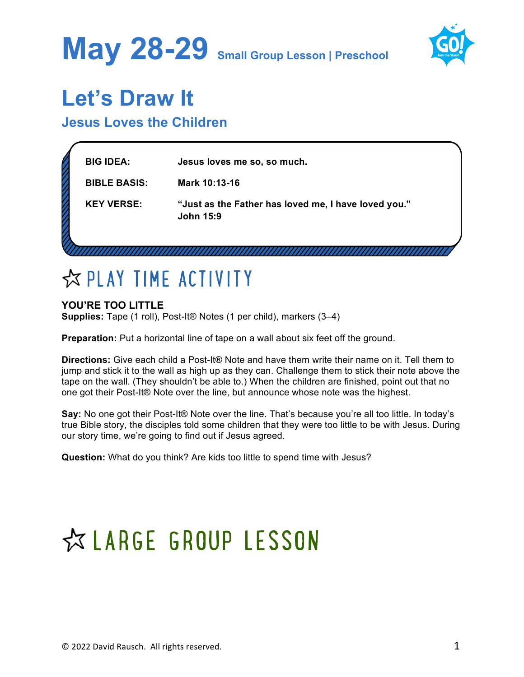



### **Let's Draw It**

### **Jesus Loves the Children**

| <b>BIG IDEA:</b>    | Jesus loves me so, so much.                                              |  |
|---------------------|--------------------------------------------------------------------------|--|
| <b>BIBLE BASIS:</b> | Mark 10:13-16                                                            |  |
| <b>KEY VERSE:</b>   | "Just as the Father has loved me, I have loved you."<br><b>John 15:9</b> |  |
|                     |                                                                          |  |

### ☆ PLAY TIME ACTIVITY

### **YOU'RE TOO LITTLE**

**Supplies:** Tape (1 roll), Post-It<sup>®</sup> Notes (1 per child), markers (3–4)

**Preparation:** Put a horizontal line of tape on a wall about six feet off the ground.

**Directions:** Give each child a Post-It® Note and have them write their name on it. Tell them to jump and stick it to the wall as high up as they can. Challenge them to stick their note above the tape on the wall. (They shouldn't be able to.) When the children are finished, point out that no one got their Post-It® Note over the line, but announce whose note was the highest.

**Say:** No one got their Post-It® Note over the line. That's because you're all too little. In today's true Bible story, the disciples told some children that they were too little to be with Jesus. During our story time, we're going to find out if Jesus agreed.

**Question:** What do you think? Are kids too little to spend time with Jesus?

## ☆ LARGE GROUP LESSON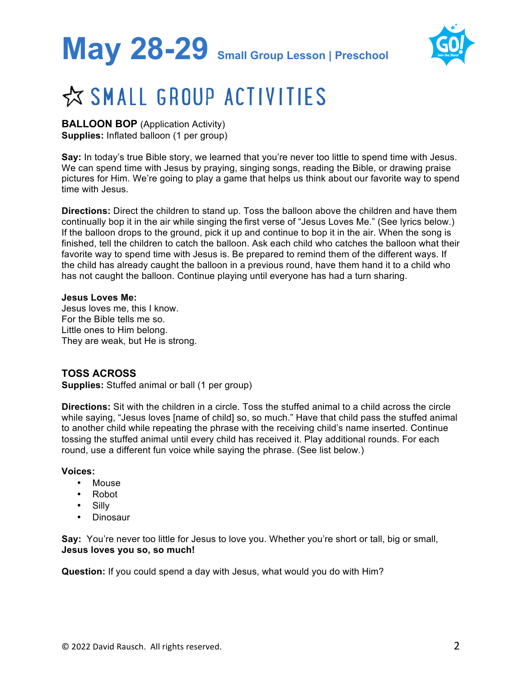# **May 28-29 Small Group Lesson | Preschool**



### ☆ SMALL GROUP ACTIVITIES

**BALLOON BOP** (Application Activity) **Supplies:** Inflated balloon (1 per group)

**Say:** In today's true Bible story, we learned that you're never too little to spend time with Jesus. We can spend time with Jesus by praying, singing songs, reading the Bible, or drawing praise pictures for Him. We're going to play a game that helps us think about our favorite way to spend time with Jesus.

**Directions:** Direct the children to stand up. Toss the balloon above the children and have them continually bop it in the air while singing the first verse of "Jesus Loves Me." (See lyrics below.) If the balloon drops to the ground, pick it up and continue to bop it in the air. When the song is finished, tell the children to catch the balloon. Ask each child who catches the balloon what their favorite way to spend time with Jesus is. Be prepared to remind them of the different ways. If the child has already caught the balloon in a previous round, have them hand it to a child who has not caught the balloon. Continue playing until everyone has had a turn sharing.

#### **Jesus Loves Me:**

Jesus loves me, this I know. For the Bible tells me so. Little ones to Him belong. They are weak, but He is strong.

### **TOSS ACROSS**

**Supplies:** Stuffed animal or ball (1 per group)

**Directions:** Sit with the children in a circle. Toss the stuffed animal to a child across the circle while saying, "Jesus loves [name of child] so, so much." Have that child pass the stuffed animal to another child while repeating the phrase with the receiving child's name inserted. Continue tossing the stuffed animal until every child has received it. Play additional rounds. For each round, use a different fun voice while saying the phrase. (See list below.)

#### **Voices:**

- Mouse
- Robot
- Silly
- Dinosaur

**Say:** You're never too little for Jesus to love you. Whether you're short or tall, big or small, **Jesus loves you so, so much!**

**Question:** If you could spend a day with Jesus, what would you do with Him?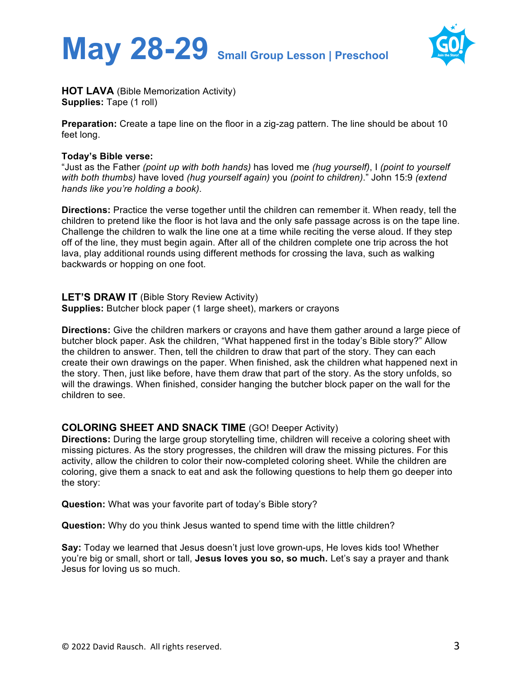



**HOT LAVA** (Bible Memorization Activity) **Supplies: Tape (1 roll)** 

**Preparation:** Create a tape line on the floor in a zig-zag pattern. The line should be about 10 feet long.

#### **Today's Bible verse:**

"Just as the Father *(point up with both hands)* has loved me *(hug yourself)*, I *(point to yourself with both thumbs)* have loved *(hug yourself again)* you *(point to children)*." John 15:9 *(extend hands like you're holding a book)*.

**Directions:** Practice the verse together until the children can remember it. When ready, tell the children to pretend like the floor is hot lava and the only safe passage across is on the tape line. Challenge the children to walk the line one at a time while reciting the verse aloud. If they step off of the line, they must begin again. After all of the children complete one trip across the hot lava, play additional rounds using different methods for crossing the lava, such as walking backwards or hopping on one foot.

**LET'S DRAW IT** (Bible Story Review Activity) **Supplies:** Butcher block paper (1 large sheet), markers or crayons

**Directions:** Give the children markers or crayons and have them gather around a large piece of butcher block paper. Ask the children, "What happened first in the today's Bible story?" Allow the children to answer. Then, tell the children to draw that part of the story. They can each create their own drawings on the paper. When finished, ask the children what happened next in the story. Then, just like before, have them draw that part of the story. As the story unfolds, so will the drawings. When finished, consider hanging the butcher block paper on the wall for the children to see.

### **COLORING SHEET AND SNACK TIME** (GO! Deeper Activity)

**Directions:** During the large group storytelling time, children will receive a coloring sheet with missing pictures. As the story progresses, the children will draw the missing pictures. For this activity, allow the children to color their now-completed coloring sheet. While the children are coloring, give them a snack to eat and ask the following questions to help them go deeper into the story:

**Question:** What was your favorite part of today's Bible story?

**Question:** Why do you think Jesus wanted to spend time with the little children?

**Say:** Today we learned that Jesus doesn't just love grown-ups, He loves kids too! Whether you're big or small, short or tall, **Jesus loves you so, so much.** Let's say a prayer and thank Jesus for loving us so much.